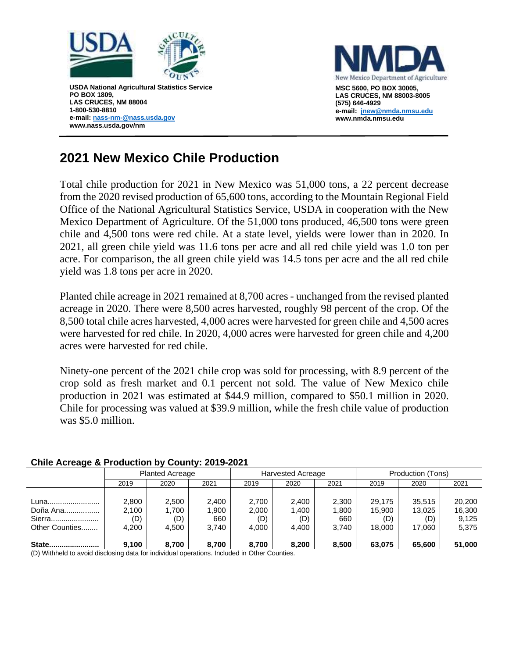



## **2021 New Mexico Chile Production**

Total chile production for 2021 in New Mexico was 51,000 tons, a 22 percent decrease from the 2020 revised production of 65,600 tons, according to the Mountain Regional Field Office of the National Agricultural Statistics Service, USDA in cooperation with the New Mexico Department of Agriculture. Of the 51,000 tons produced, 46,500 tons were green chile and 4,500 tons were red chile. At a state level, yields were lower than in 2020. In 2021, all green chile yield was 11.6 tons per acre and all red chile yield was 1.0 ton per acre. For comparison, the all green chile yield was 14.5 tons per acre and the all red chile yield was 1.8 tons per acre in 2020.

Planted chile acreage in 2021 remained at 8,700 acres - unchanged from the revised planted acreage in 2020. There were 8,500 acres harvested, roughly 98 percent of the crop. Of the 8,500 total chile acres harvested, 4,000 acres were harvested for green chile and 4,500 acres were harvested for red chile. In 2020, 4,000 acres were harvested for green chile and 4,200 acres were harvested for red chile.

Ninety-one percent of the 2021 chile crop was sold for processing, with 8.9 percent of the crop sold as fresh market and 0.1 percent not sold. The value of New Mexico chile production in 2021 was estimated at \$44.9 million, compared to \$50.1 million in 2020. Chile for processing was valued at \$39.9 million, while the fresh chile value of production was \$5.0 million.

| $\frac{1}{2}$                                                                                          |                        |       |       |                          |       |       |                   |        |        |
|--------------------------------------------------------------------------------------------------------|------------------------|-------|-------|--------------------------|-------|-------|-------------------|--------|--------|
|                                                                                                        | <b>Planted Acreage</b> |       |       | <b>Harvested Acreage</b> |       |       | Production (Tons) |        |        |
|                                                                                                        | 2019                   | 2020  | 2021  | 2019                     | 2020  | 2021  | 2019              | 2020   | 2021   |
|                                                                                                        |                        |       |       |                          |       |       |                   |        |        |
| Luna                                                                                                   | 2,800                  | 2,500 | 2,400 | 2,700                    | 2,400 | 2,300 | 29.175            | 35,515 | 20,200 |
| Doña Ana                                                                                               | 2,100                  | 1,700 | .900  | 2,000                    | 1,400 | 1.800 | 15,900            | 13,025 | 16,300 |
| Sierra                                                                                                 | (D)                    | (D)   | 660   | (D)                      | (D)   | 660   | (D)               | (D)    | 9.125  |
| Other Counties                                                                                         | 4.200                  | 4.500 | 3.740 | 4.000                    | 4.400 | 3.740 | 18.000            | 17.060 | 5,375  |
|                                                                                                        |                        |       |       |                          |       |       |                   |        |        |
| State                                                                                                  | 9,100                  | 8.700 | 8.700 | 8.700                    | 8,200 | 8,500 | 63,075            | 65,600 | 51,000 |
| (D) Mithbald to acceled displacement and activities in displacement and characteristic Other Occurring |                        |       |       |                          |       |       |                   |        |        |

## **Chile Acreage & Production by County: 2019-2021**

(D) Withheld to avoid disclosing data for individual operations. Included in Other Counties.